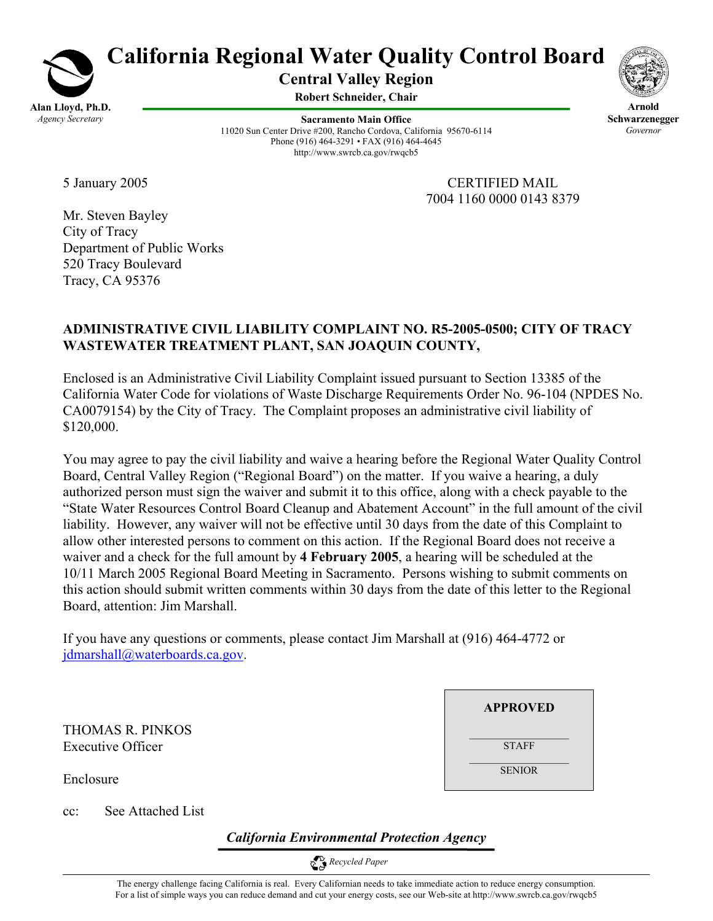

# **California Regional Water Quality Control Board**

**Central Valley Region** 

**Robert Schneider, Chair**

**Sacramento Main Office** 11020 Sun Center Drive #200, Rancho Cordova, California 95670-6114 Phone (916) 464-3291 • FAX (916) 464-4645 http://www.swrcb.ca.gov/rwqcb5



**Arnold Schwarzenegger** *Governor* 

5 January 2005 CERTIFIED MAIL 7004 1160 0000 0143 8379

Mr. Steven Bayley City of Tracy Department of Public Works 520 Tracy Boulevard Tracy, CA 95376

## **ADMINISTRATIVE CIVIL LIABILITY COMPLAINT NO. R5-2005-0500; CITY OF TRACY WASTEWATER TREATMENT PLANT, SAN JOAQUIN COUNTY,**

Enclosed is an Administrative Civil Liability Complaint issued pursuant to Section 13385 of the California Water Code for violations of Waste Discharge Requirements Order No. 96-104 (NPDES No. CA0079154) by the City of Tracy. The Complaint proposes an administrative civil liability of \$120,000.

You may agree to pay the civil liability and waive a hearing before the Regional Water Quality Control Board, Central Valley Region ("Regional Board") on the matter. If you waive a hearing, a duly authorized person must sign the waiver and submit it to this office, along with a check payable to the "State Water Resources Control Board Cleanup and Abatement Account" in the full amount of the civil liability. However, any waiver will not be effective until 30 days from the date of this Complaint to allow other interested persons to comment on this action. If the Regional Board does not receive a waiver and a check for the full amount by **4 February 2005**, a hearing will be scheduled at the 10/11 March 2005 Regional Board Meeting in Sacramento. Persons wishing to submit comments on this action should submit written comments within 30 days from the date of this letter to the Regional Board, attention: Jim Marshall.

If you have any questions or comments, please contact Jim Marshall at (916) 464-4772 or jdmarshall@waterboards.ca.gov.

THOMAS R. PINKOS Executive Officer

Enclosure

cc: See Attached List

*California Environmental Protection Agency*

 *Recycled Paper* 

**APPROVED**

STAFF  $\mathcal{L}_\text{max}$ 

**SENIOR**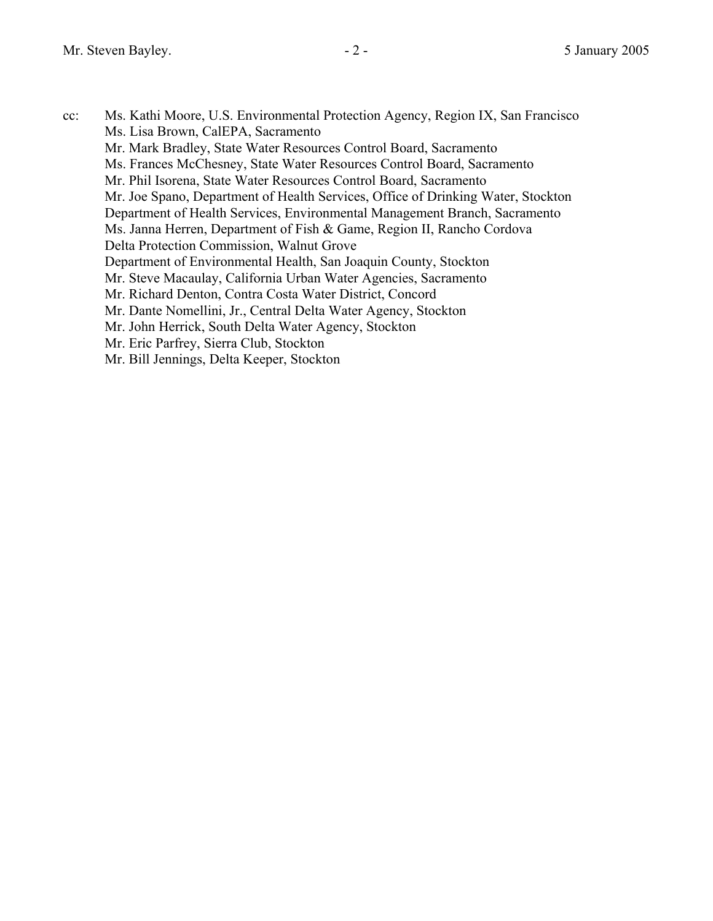cc: Ms. Kathi Moore, U.S. Environmental Protection Agency, Region IX, San Francisco Ms. Lisa Brown, CalEPA, Sacramento Mr. Mark Bradley, State Water Resources Control Board, Sacramento Ms. Frances McChesney, State Water Resources Control Board, Sacramento Mr. Phil Isorena, State Water Resources Control Board, Sacramento Mr. Joe Spano, Department of Health Services, Office of Drinking Water, Stockton Department of Health Services, Environmental Management Branch, Sacramento Ms. Janna Herren, Department of Fish & Game, Region II, Rancho Cordova Delta Protection Commission, Walnut Grove Department of Environmental Health, San Joaquin County, Stockton Mr. Steve Macaulay, California Urban Water Agencies, Sacramento Mr. Richard Denton, Contra Costa Water District, Concord Mr. Dante Nomellini, Jr., Central Delta Water Agency, Stockton Mr. John Herrick, South Delta Water Agency, Stockton Mr. Eric Parfrey, Sierra Club, Stockton Mr. Bill Jennings, Delta Keeper, Stockton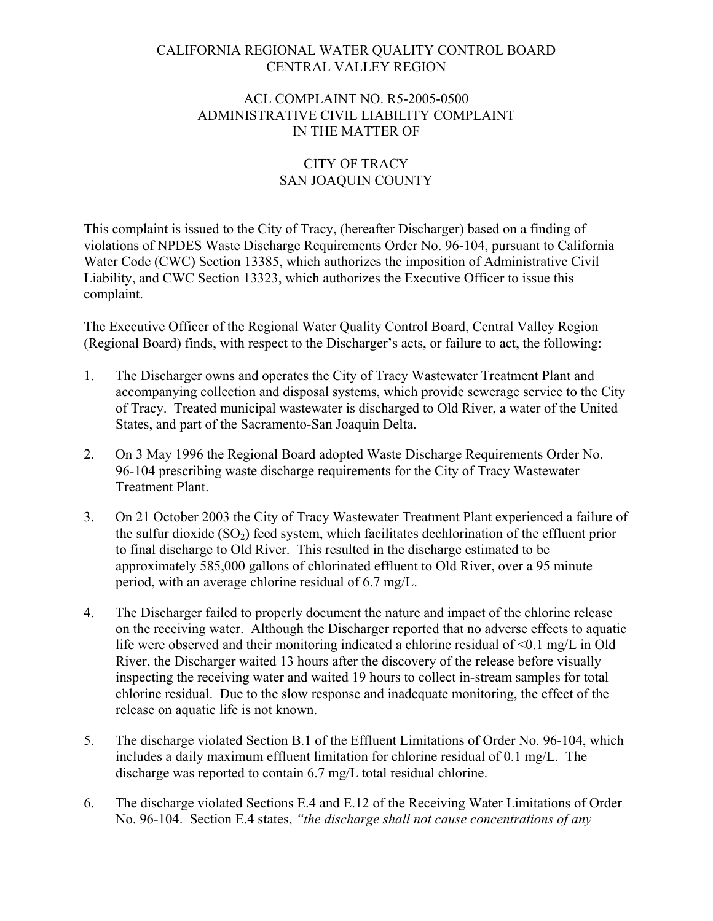### CALIFORNIA REGIONAL WATER QUALITY CONTROL BOARD CENTRAL VALLEY REGION

#### ACL COMPLAINT NO. R5-2005-0500 ADMINISTRATIVE CIVIL LIABILITY COMPLAINT IN THE MATTER OF

## CITY OF TRACY SAN JOAQUIN COUNTY

This complaint is issued to the City of Tracy, (hereafter Discharger) based on a finding of violations of NPDES Waste Discharge Requirements Order No. 96-104, pursuant to California Water Code (CWC) Section 13385, which authorizes the imposition of Administrative Civil Liability, and CWC Section 13323, which authorizes the Executive Officer to issue this complaint.

The Executive Officer of the Regional Water Quality Control Board, Central Valley Region (Regional Board) finds, with respect to the Discharger's acts, or failure to act, the following:

- 1. The Discharger owns and operates the City of Tracy Wastewater Treatment Plant and accompanying collection and disposal systems, which provide sewerage service to the City of Tracy. Treated municipal wastewater is discharged to Old River, a water of the United States, and part of the Sacramento-San Joaquin Delta.
- 2. On 3 May 1996 the Regional Board adopted Waste Discharge Requirements Order No. 96-104 prescribing waste discharge requirements for the City of Tracy Wastewater Treatment Plant.
- 3. On 21 October 2003 the City of Tracy Wastewater Treatment Plant experienced a failure of the sulfur dioxide  $(SO<sub>2</sub>)$  feed system, which facilitates dechlorination of the effluent prior to final discharge to Old River. This resulted in the discharge estimated to be approximately 585,000 gallons of chlorinated effluent to Old River, over a 95 minute period, with an average chlorine residual of 6.7 mg/L.
- 4. The Discharger failed to properly document the nature and impact of the chlorine release on the receiving water. Although the Discharger reported that no adverse effects to aquatic life were observed and their monitoring indicated a chlorine residual of  $\leq 0.1$  mg/L in Old River, the Discharger waited 13 hours after the discovery of the release before visually inspecting the receiving water and waited 19 hours to collect in-stream samples for total chlorine residual. Due to the slow response and inadequate monitoring, the effect of the release on aquatic life is not known.
- 5. The discharge violated Section B.1 of the Effluent Limitations of Order No. 96-104, which includes a daily maximum effluent limitation for chlorine residual of 0.1 mg/L. The discharge was reported to contain 6.7 mg/L total residual chlorine.
- 6. The discharge violated Sections E.4 and E.12 of the Receiving Water Limitations of Order No. 96-104. Section E.4 states, *"the discharge shall not cause concentrations of any*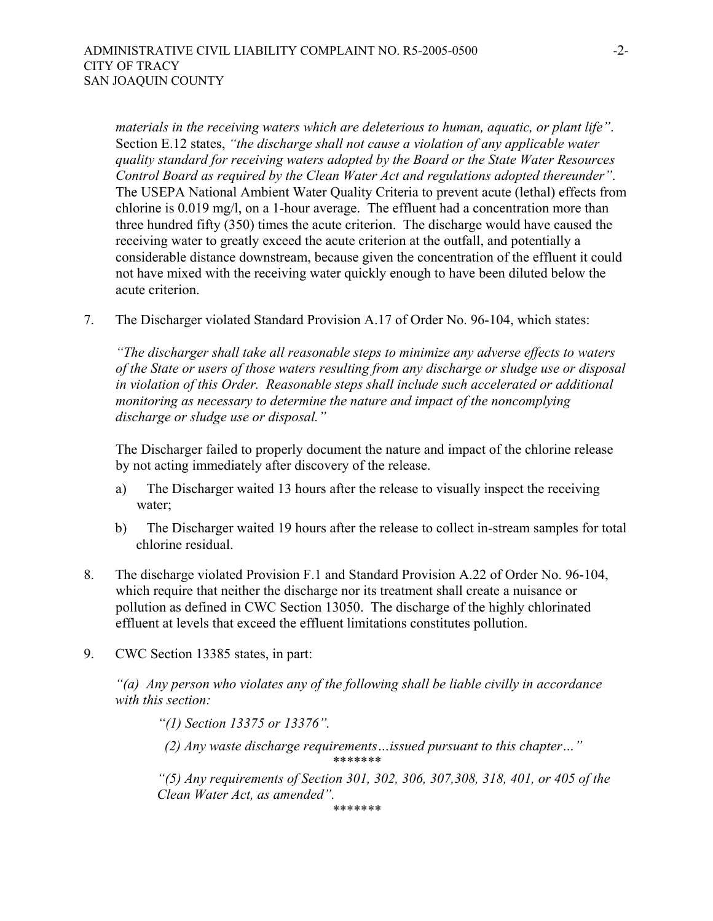*materials in the receiving waters which are deleterious to human, aquatic, or plant life"*. Section E.12 states, *"the discharge shall not cause a violation of any applicable water quality standard for receiving waters adopted by the Board or the State Water Resources Control Board as required by the Clean Water Act and regulations adopted thereunder"*. The USEPA National Ambient Water Quality Criteria to prevent acute (lethal) effects from chlorine is 0.019 mg/l, on a 1-hour average. The effluent had a concentration more than three hundred fifty (350) times the acute criterion. The discharge would have caused the receiving water to greatly exceed the acute criterion at the outfall, and potentially a considerable distance downstream, because given the concentration of the effluent it could not have mixed with the receiving water quickly enough to have been diluted below the acute criterion.

7. The Discharger violated Standard Provision A.17 of Order No. 96-104, which states:

*"The discharger shall take all reasonable steps to minimize any adverse effects to waters of the State or users of those waters resulting from any discharge or sludge use or disposal in violation of this Order. Reasonable steps shall include such accelerated or additional monitoring as necessary to determine the nature and impact of the noncomplying discharge or sludge use or disposal."*

The Discharger failed to properly document the nature and impact of the chlorine release by not acting immediately after discovery of the release.

- a) The Discharger waited 13 hours after the release to visually inspect the receiving water;
- b) The Discharger waited 19 hours after the release to collect in-stream samples for total chlorine residual.
- 8. The discharge violated Provision F.1 and Standard Provision A.22 of Order No. 96-104, which require that neither the discharge nor its treatment shall create a nuisance or pollution as defined in CWC Section 13050. The discharge of the highly chlorinated effluent at levels that exceed the effluent limitations constitutes pollution.
- 9. CWC Section 13385 states, in part:

*"(a) Any person who violates any of the following shall be liable civilly in accordance with this section:* 

*"(1) Section 13375 or 13376".* 

 *(2) Any waste discharge requirements…issued pursuant to this chapter…" \*\*\*\*\*\*\** 

*"(5) Any requirements of Section 301, 302, 306, 307,308, 318, 401, or 405 of the Clean Water Act, as amended".*

*\*\*\*\*\*\*\**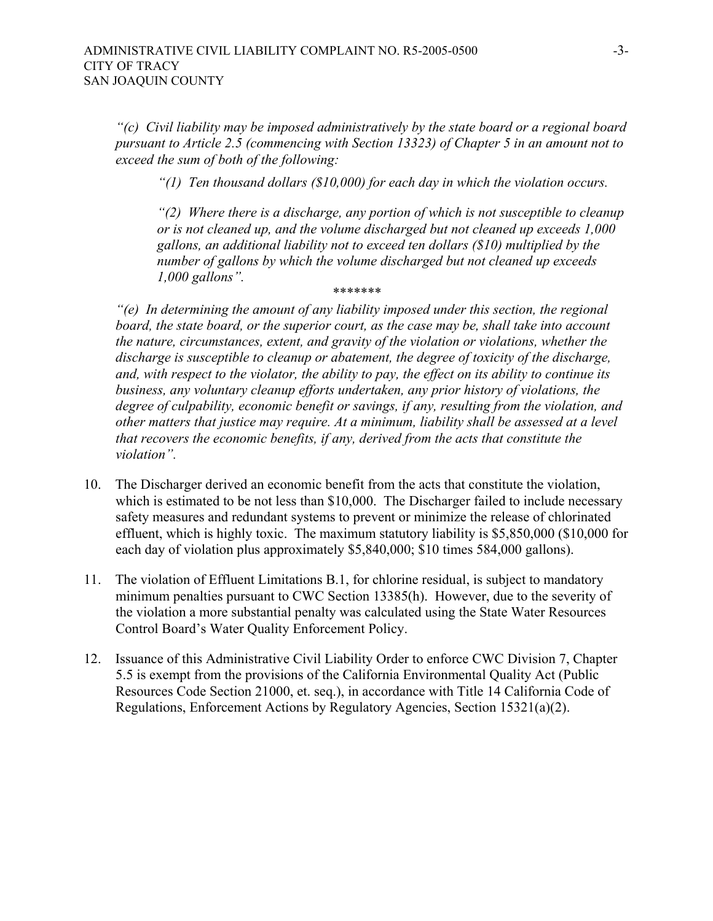*"(c) Civil liability may be imposed administratively by the state board or a regional board pursuant to Article 2.5 (commencing with Section 13323) of Chapter 5 in an amount not to exceed the sum of both of the following:* 

*"(1) Ten thousand dollars (\$10,000) for each day in which the violation occurs.* 

*"(2) Where there is a discharge, any portion of which is not susceptible to cleanup or is not cleaned up, and the volume discharged but not cleaned up exceeds 1,000 gallons, an additional liability not to exceed ten dollars (\$10) multiplied by the number of gallons by which the volume discharged but not cleaned up exceeds 1,000 gallons". \*\*\*\*\*\*\** 

*"(e) In determining the amount of any liability imposed under this section, the regional board, the state board, or the superior court, as the case may be, shall take into account the nature, circumstances, extent, and gravity of the violation or violations, whether the discharge is susceptible to cleanup or abatement, the degree of toxicity of the discharge, and, with respect to the violator, the ability to pay, the effect on its ability to continue its business, any voluntary cleanup efforts undertaken, any prior history of violations, the degree of culpability, economic benefit or savings, if any, resulting from the violation, and other matters that justice may require. At a minimum, liability shall be assessed at a level that recovers the economic benefits, if any, derived from the acts that constitute the violation".* 

- 10. The Discharger derived an economic benefit from the acts that constitute the violation, which is estimated to be not less than \$10,000. The Discharger failed to include necessary safety measures and redundant systems to prevent or minimize the release of chlorinated effluent, which is highly toxic. The maximum statutory liability is \$5,850,000 (\$10,000 for each day of violation plus approximately \$5,840,000; \$10 times 584,000 gallons).
- 11. The violation of Effluent Limitations B.1, for chlorine residual, is subject to mandatory minimum penalties pursuant to CWC Section 13385(h). However, due to the severity of the violation a more substantial penalty was calculated using the State Water Resources Control Board's Water Quality Enforcement Policy.
- 12. Issuance of this Administrative Civil Liability Order to enforce CWC Division 7, Chapter 5.5 is exempt from the provisions of the California Environmental Quality Act (Public Resources Code Section 21000, et. seq.), in accordance with Title 14 California Code of Regulations, Enforcement Actions by Regulatory Agencies, Section 15321(a)(2).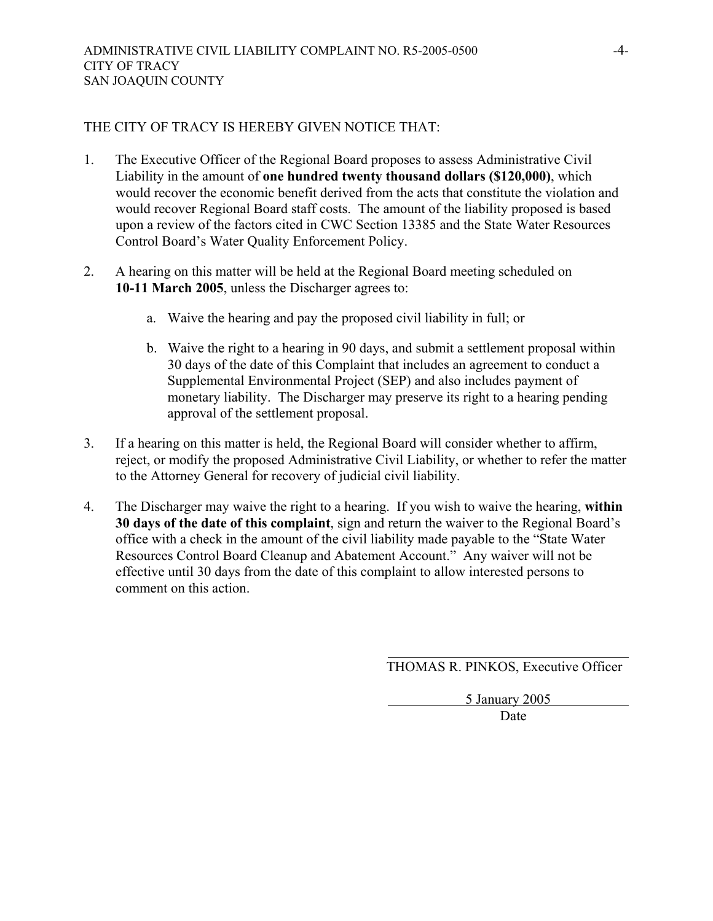#### THE CITY OF TRACY IS HEREBY GIVEN NOTICE THAT:

- 1. The Executive Officer of the Regional Board proposes to assess Administrative Civil Liability in the amount of **one hundred twenty thousand dollars (\$120,000)**, which would recover the economic benefit derived from the acts that constitute the violation and would recover Regional Board staff costs. The amount of the liability proposed is based upon a review of the factors cited in CWC Section 13385 and the State Water Resources Control Board's Water Quality Enforcement Policy.
- 2. A hearing on this matter will be held at the Regional Board meeting scheduled on **10-11 March 2005**, unless the Discharger agrees to:
	- a. Waive the hearing and pay the proposed civil liability in full; or
	- b. Waive the right to a hearing in 90 days, and submit a settlement proposal within 30 days of the date of this Complaint that includes an agreement to conduct a Supplemental Environmental Project (SEP) and also includes payment of monetary liability. The Discharger may preserve its right to a hearing pending approval of the settlement proposal.
- 3. If a hearing on this matter is held, the Regional Board will consider whether to affirm, reject, or modify the proposed Administrative Civil Liability, or whether to refer the matter to the Attorney General for recovery of judicial civil liability.
- 4. The Discharger may waive the right to a hearing. If you wish to waive the hearing, **within 30 days of the date of this complaint**, sign and return the waiver to the Regional Board's office with a check in the amount of the civil liability made payable to the "State Water Resources Control Board Cleanup and Abatement Account." Any waiver will not be effective until 30 days from the date of this complaint to allow interested persons to comment on this action.

THOMAS R. PINKOS, Executive Officer

5 January 2005

**Date**